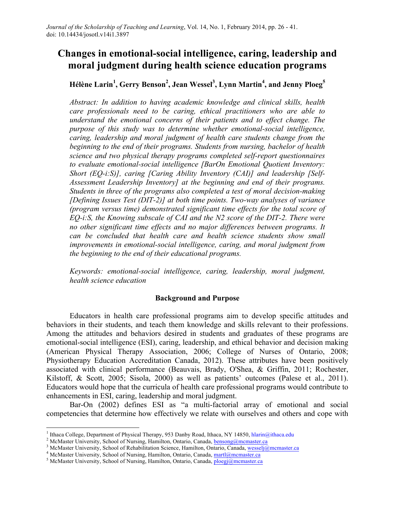# **Changes in emotional-social intelligence, caring, leadership and moral judgment during health science education programs**

# **Hélène Larin<sup>1</sup> , Gerry Benson<sup>2</sup> , Jean Wessel3 , Lynn Martin4 , and Jenny Ploeg<sup>5</sup>**

*Abstract: In addition to having academic knowledge and clinical skills, health care professionals need to be caring, ethical practitioners who are able to understand the emotional concerns of their patients and to effect change. The purpose of this study was to determine whether emotional-social intelligence, caring, leadership and moral judgment of health care students change from the beginning to the end of their programs. Students from nursing, bachelor of health science and two physical therapy programs completed self-report questionnaires to evaluate emotional-social intelligence [BarOn Emotional Quotient Inventory: Short (EQ-i:S)], caring [Caring Ability Inventory (CAI)] and leadership [Self-Assessment Leadership Inventory] at the beginning and end of their programs. Students in three of the programs also completed a test of moral decision-making [Defining Issues Test (DIT-2)] at both time points. Two-way analyses of variance (program versus time) demonstrated significant time effects for the total score of EQ-i:S, the Knowing subscale of CAI and the N2 score of the DIT-2. There were no other significant time effects and no major differences between programs. It can be concluded that health care and health science students show small improvements in emotional-social intelligence, caring, and moral judgment from the beginning to the end of their educational programs.*

*Keywords: emotional-social intelligence, caring, leadership, moral judgment, health science education*

#### **Background and Purpose**

Educators in health care professional programs aim to develop specific attitudes and behaviors in their students, and teach them knowledge and skills relevant to their professions. Among the attitudes and behaviors desired in students and graduates of these programs are emotional-social intelligence (ESI), caring, leadership, and ethical behavior and decision making (American Physical Therapy Association, 2006; College of Nurses of Ontario, 2008; Physiotherapy Education Accreditation Canada, 2012). These attributes have been positively associated with clinical performance (Beauvais, Brady, O'Shea, & Griffin, 2011; Rochester, Kilstoff, & Scott, 2005; Sisola, 2000) as well as patients' outcomes (Palese et al., 2011). Educators would hope that the curricula of health care professional programs would contribute to enhancements in ESI, caring, leadership and moral judgment.

Bar-On (2002) defines ESI as "a multi-factorial array of emotional and social competencies that determine how effectively we relate with ourselves and others and cope with

<sup>&</sup>lt;sup>1</sup> Ithaca College, Department of Physical Therapy, 953 Danby Road, Ithaca, NY 14850, hlarin@ithaca.edu<sup>2</sup> McMaster University, School of Nursing, Hamilton, Ontario, Canada, <u>bensong@mcmaster.ca</u><sup>3</sup> McMaster University, S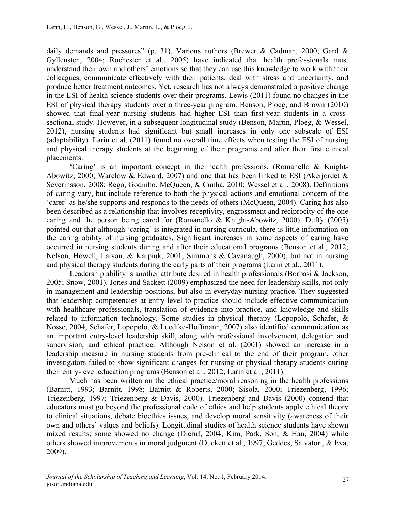daily demands and pressures" (p. 31). Various authors (Brewer & Cadman, 2000; Gard & Gyllensten, 2004; Rochester et al., 2005) have indicated that health professionals must understand their own and others' emotions so that they can use this knowledge to work with their colleagues, communicate effectively with their patients, deal with stress and uncertainty, and produce better treatment outcomes. Yet, research has not always demonstrated a positive change in the ESI of health science students over their programs. Lewis (2011) found no changes in the ESI of physical therapy students over a three-year program. Benson, Ploeg, and Brown (2010) showed that final-year nursing students had higher ESI than first-year students in a crosssectional study. However, in a subsequent longitudinal study (Benson, Martin, Ploeg, & Wessel, 2012), nursing students had significant but small increases in only one subscale of ESI (adaptability). Larin et al. (2011) found no overall time effects when testing the ESI of nursing and physical therapy students at the beginning of their programs and after their first clinical placements.

'Caring' is an important concept in the health professions, (Romanello & Knight-Abowitz, 2000; Warelow & Edward, 2007) and one that has been linked to ESI (Akerjordet & Severinsson, 2008; Rego, Godinho, McQueen, & Cunha, 2010; Wessel et al., 2008). Definitions of caring vary, but include reference to both the physical actions and emotional concern of the 'carer' as he/she supports and responds to the needs of others (McQueen, 2004). Caring has also been described as a relationship that involves receptivity, engrossment and reciprocity of the one caring and the person being cared for (Romanello & Knight-Abowitz, 2000). Duffy (2005) pointed out that although 'caring' is integrated in nursing curricula, there is little information on the caring ability of nursing graduates. Significant increases in some aspects of caring have occurred in nursing students during and after their educational programs (Benson et al., 2012; Nelson, Howell, Larson, & Karpiuk, 2001; Simmons & Cavanaugh, 2000), but not in nursing and physical therapy students during the early parts of their programs (Larin et al., 2011).

Leadership ability is another attribute desired in health professionals (Borbasi & Jackson, 2005; Snow, 2001). Jones and Sackett (2009) emphasized the need for leadership skills, not only in management and leadership positions, but also in everyday nursing practice. They suggested that leadership competencies at entry level to practice should include effective communication with healthcare professionals, translation of evidence into practice, and knowledge and skills related to information technology. Some studies in physical therapy (Lopopolo, Schafer, & Nosse, 2004; Schafer, Lopopolo, & Luedtke-Hoffmann, 2007) also identified communication as an important entry-level leadership skill, along with professional involvement, delegation and supervision, and ethical practice. Although Nelson et al. (2001) showed an increase in a leadership measure in nursing students from pre-clinical to the end of their program, other investigators failed to show significant changes for nursing or physical therapy students during their entry-level education programs (Benson et al., 2012; Larin et al., 2011).

Much has been written on the ethical practice/moral reasoning in the health professions (Barnitt, 1993; Barnitt, 1998; Barnitt & Roberts, 2000; Sisola, 2000; Triezenberg, 1996; Triezenberg, 1997; Triezenberg & Davis, 2000). Triezenberg and Davis (2000) contend that educators must go beyond the professional code of ethics and help students apply ethical theory to clinical situations, debate bioethics issues, and develop moral sensitivity (awareness of their own and others' values and beliefs). Longitudinal studies of health science students have shown mixed results; some showed no change (Dieruf, 2004; Kim, Park, Son, & Han, 2004) while others showed improvements in moral judgment (Duckett et al., 1997; Geddes, Salvatori, & Eva, 2009).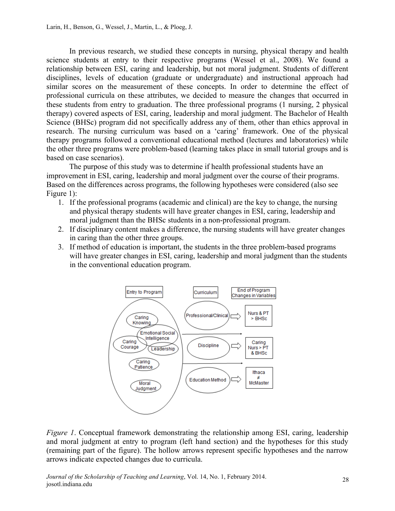In previous research, we studied these concepts in nursing, physical therapy and health science students at entry to their respective programs (Wessel et al., 2008). We found a relationship between ESI, caring and leadership, but not moral judgment. Students of different disciplines, levels of education (graduate or undergraduate) and instructional approach had similar scores on the measurement of these concepts. In order to determine the effect of professional curricula on these attributes, we decided to measure the changes that occurred in these students from entry to graduation. The three professional programs (1 nursing, 2 physical therapy) covered aspects of ESI, caring, leadership and moral judgment. The Bachelor of Health Science (BHSc) program did not specifically address any of them, other than ethics approval in research. The nursing curriculum was based on a 'caring' framework. One of the physical therapy programs followed a conventional educational method (lectures and laboratories) while the other three programs were problem-based (learning takes place in small tutorial groups and is based on case scenarios).

The purpose of this study was to determine if health professional students have an improvement in ESI, caring, leadership and moral judgment over the course of their programs. Based on the differences across programs, the following hypotheses were considered (also see Figure 1):

- 1. If the professional programs (academic and clinical) are the key to change, the nursing and physical therapy students will have greater changes in ESI, caring, leadership and moral judgment than the BHSc students in a non-professional program.
- 2. If disciplinary content makes a difference, the nursing students will have greater changes in caring than the other three groups.
- 3. If method of education is important, the students in the three problem-based programs will have greater changes in ESI, caring, leadership and moral judgment than the students in the conventional education program.



*Figure 1*. Conceptual framework demonstrating the relationship among ESI, caring, leadership and moral judgment at entry to program (left hand section) and the hypotheses for this study (remaining part of the figure). The hollow arrows represent specific hypotheses and the narrow arrows indicate expected changes due to curricula.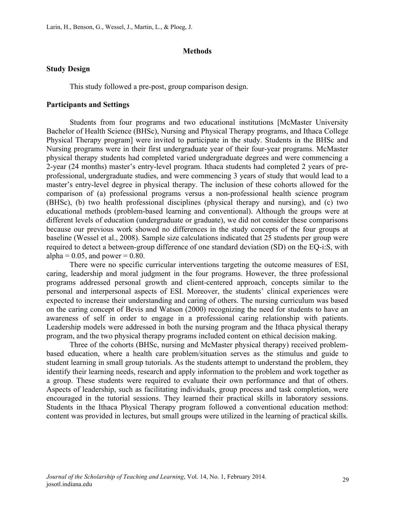#### **Methods**

#### **Study Design**

This study followed a pre-post, group comparison design.

#### **Participants and Settings**

Students from four programs and two educational institutions [McMaster University Bachelor of Health Science (BHSc), Nursing and Physical Therapy programs, and Ithaca College Physical Therapy program] were invited to participate in the study. Students in the BHSc and Nursing programs were in their first undergraduate year of their four-year programs. McMaster physical therapy students had completed varied undergraduate degrees and were commencing a 2-year (24 months) master's entry-level program. Ithaca students had completed 2 years of preprofessional, undergraduate studies, and were commencing 3 years of study that would lead to a master's entry-level degree in physical therapy. The inclusion of these cohorts allowed for the comparison of (a) professional programs versus a non-professional health science program (BHSc), (b) two health professional disciplines (physical therapy and nursing), and (c) two educational methods (problem-based learning and conventional). Although the groups were at different levels of education (undergraduate or graduate), we did not consider these comparisons because our previous work showed no differences in the study concepts of the four groups at baseline (Wessel et al., 2008). Sample size calculations indicated that 25 students per group were required to detect a between-group difference of one standard deviation (SD) on the EQ-i:S, with alpha =  $0.05$ , and power =  $0.80$ .

There were no specific curricular interventions targeting the outcome measures of ESI, caring, leadership and moral judgment in the four programs. However, the three professional programs addressed personal growth and client-centered approach, concepts similar to the personal and interpersonal aspects of ESI. Moreover, the students' clinical experiences were expected to increase their understanding and caring of others. The nursing curriculum was based on the caring concept of Bevis and Watson (2000) recognizing the need for students to have an awareness of self in order to engage in a professional caring relationship with patients. Leadership models were addressed in both the nursing program and the Ithaca physical therapy program, and the two physical therapy programs included content on ethical decision making.

Three of the cohorts (BHSc, nursing and McMaster physical therapy) received problembased education, where a health care problem/situation serves as the stimulus and guide to student learning in small group tutorials. As the students attempt to understand the problem, they identify their learning needs, research and apply information to the problem and work together as a group. These students were required to evaluate their own performance and that of others. Aspects of leadership, such as facilitating individuals, group process and task completion, were encouraged in the tutorial sessions. They learned their practical skills in laboratory sessions. Students in the Ithaca Physical Therapy program followed a conventional education method: content was provided in lectures, but small groups were utilized in the learning of practical skills.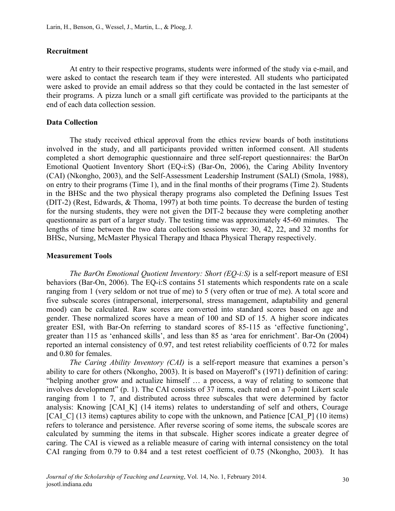#### **Recruitment**

At entry to their respective programs, students were informed of the study via e-mail, and were asked to contact the research team if they were interested. All students who participated were asked to provide an email address so that they could be contacted in the last semester of their programs. A pizza lunch or a small gift certificate was provided to the participants at the end of each data collection session.

#### **Data Collection**

The study received ethical approval from the ethics review boards of both institutions involved in the study, and all participants provided written informed consent. All students completed a short demographic questionnaire and three self-report questionnaires: the BarOn Emotional Quotient Inventory Short (EQ-i:S) (Bar-On, 2006), the Caring Ability Inventory (CAI) (Nkongho, 2003), and the Self-Assessment Leadership Instrument (SALI) (Smola, 1988), on entry to their programs (Time 1), and in the final months of their programs (Time 2). Students in the BHSc and the two physical therapy programs also completed the Defining Issues Test (DIT-2) (Rest, Edwards, & Thoma, 1997) at both time points. To decrease the burden of testing for the nursing students, they were not given the DIT-2 because they were completing another questionnaire as part of a larger study. The testing time was approximately 45-60 minutes. The lengths of time between the two data collection sessions were: 30, 42, 22, and 32 months for BHSc, Nursing, McMaster Physical Therapy and Ithaca Physical Therapy respectively.

#### **Measurement Tools**

*The BarOn Emotional Quotient Inventory: Short (EQ-i:S)* is a self-report measure of ESI behaviors (Bar-On, 2006). The EQ-i:S contains 51 statements which respondents rate on a scale ranging from 1 (very seldom or not true of me) to 5 (very often or true of me). A total score and five subscale scores (intrapersonal, interpersonal, stress management, adaptability and general mood) can be calculated. Raw scores are converted into standard scores based on age and gender. These normalized scores have a mean of 100 and SD of 15. A higher score indicates greater ESI, with Bar-On referring to standard scores of 85-115 as 'effective functioning', greater than 115 as 'enhanced skills', and less than 85 as 'area for enrichment'. Bar-On (2004) reported an internal consistency of 0.97, and test retest reliability coefficients of 0.72 for males and 0.80 for females.

*The Caring Ability Inventory (CAI)* is a self-report measure that examines a person's ability to care for others (Nkongho, 2003). It is based on Mayeroff's (1971) definition of caring: "helping another grow and actualize himself … a process, a way of relating to someone that involves development" (p. 1). The CAI consists of 37 items, each rated on a 7-point Likert scale ranging from 1 to 7, and distributed across three subscales that were determined by factor analysis: Knowing [CAI\_K] (14 items) relates to understanding of self and others, Courage [CAI\_C] (13 items) captures ability to cope with the unknown, and Patience [CAI\_P] (10 items) refers to tolerance and persistence. After reverse scoring of some items, the subscale scores are calculated by summing the items in that subscale. Higher scores indicate a greater degree of caring. The CAI is viewed as a reliable measure of caring with internal consistency on the total CAI ranging from 0.79 to 0.84 and a test retest coefficient of 0.75 (Nkongho, 2003). It has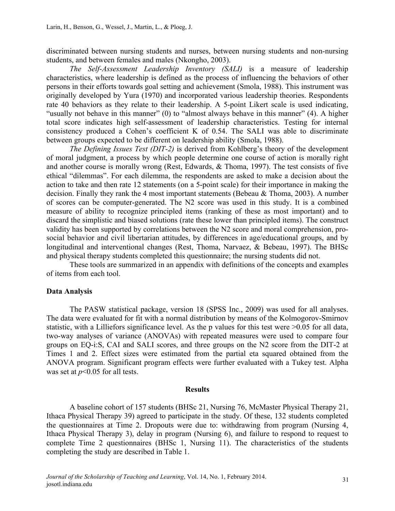discriminated between nursing students and nurses, between nursing students and non-nursing students, and between females and males (Nkongho, 2003).

*The Self-Assessment Leadership Inventory (SALI)* is a measure of leadership characteristics, where leadership is defined as the process of influencing the behaviors of other persons in their efforts towards goal setting and achievement (Smola, 1988). This instrument was originally developed by Yura (1970) and incorporated various leadership theories. Respondents rate 40 behaviors as they relate to their leadership. A 5-point Likert scale is used indicating, "usually not behave in this manner" (0) to "almost always behave in this manner" (4). A higher total score indicates high self-assessment of leadership characteristics. Testing for internal consistency produced a Cohen's coefficient K of 0.54. The SALI was able to discriminate between groups expected to be different on leadership ability (Smola, 1988).

*The Defining Issues Test (DIT-2)* is derived from Kohlberg's theory of the development of moral judgment, a process by which people determine one course of action is morally right and another course is morally wrong (Rest, Edwards, & Thoma, 1997). The test consists of five ethical "dilemmas". For each dilemma, the respondents are asked to make a decision about the action to take and then rate 12 statements (on a 5-point scale) for their importance in making the decision. Finally they rank the 4 most important statements (Bebeau & Thoma, 2003). A number of scores can be computer-generated. The N2 score was used in this study. It is a combined measure of ability to recognize principled items (ranking of these as most important) and to discard the simplistic and biased solutions (rate these lower than principled items). The construct validity has been supported by correlations between the N2 score and moral comprehension, prosocial behavior and civil libertarian attitudes, by differences in age/educational groups, and by longitudinal and interventional changes (Rest, Thoma, Narvaez, & Bebeau, 1997). The BHSc and physical therapy students completed this questionnaire; the nursing students did not.

These tools are summarized in an appendix with definitions of the concepts and examples of items from each tool.

#### **Data Analysis**

The PASW statistical package, version 18 (SPSS Inc., 2009) was used for all analyses. The data were evaluated for fit with a normal distribution by means of the Kolmogorov-Smirnov statistic, with a Lilliefors significance level. As the p values for this test were >0.05 for all data, two-way analyses of variance (ANOVAs) with repeated measures were used to compare four groups on EQ-i:S, CAI and SALI scores, and three groups on the N2 score from the DIT-2 at Times 1 and 2. Effect sizes were estimated from the partial eta squared obtained from the ANOVA program. Significant program effects were further evaluated with a Tukey test. Alpha was set at *p*<0.05 for all tests.

#### **Results**

A baseline cohort of 157 students (BHSc 21, Nursing 76, McMaster Physical Therapy 21, Ithaca Physical Therapy 39) agreed to participate in the study. Of these, 132 students completed the questionnaires at Time 2. Dropouts were due to: withdrawing from program (Nursing 4, Ithaca Physical Therapy 3), delay in program (Nursing 6), and failure to respond to request to complete Time 2 questionnaires (BHSc 1, Nursing 11). The characteristics of the students completing the study are described in Table 1.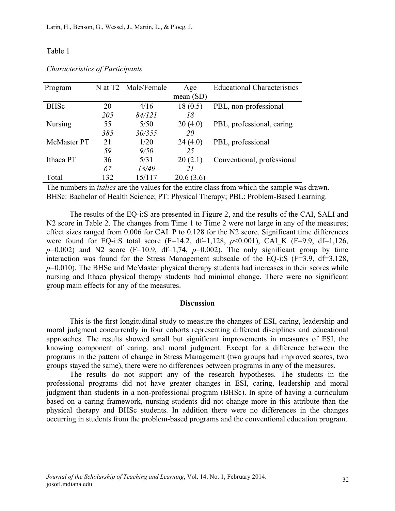#### Table 1

| Program            |     | N at T2 Male/Female | Age         | <b>Educational Characteristics</b> |
|--------------------|-----|---------------------|-------------|------------------------------------|
|                    |     |                     | mean $(SD)$ |                                    |
| <b>BHSc</b>        | 20  | 4/16                | 18(0.5)     | PBL, non-professional              |
|                    | 205 | 84/121              | 18          |                                    |
| <b>Nursing</b>     | 55  | 5/50                | 20(4.0)     | PBL, professional, caring          |
|                    | 385 | 30/355              | 20          |                                    |
| <b>McMaster PT</b> | 21  | 1/20                | 24(4.0)     | PBL, professional                  |
|                    | 59  | 9/50                | 25          |                                    |
| Ithaca PT          | 36  | 5/31                | 20(2.1)     | Conventional, professional         |
|                    | 67  | 18/49               | 21          |                                    |
| Total              | 132 | 15/117              | 20.6(3.6)   |                                    |

*Characteristics of Participants*

The numbers in *italics* are the values for the entire class from which the sample was drawn. BHSc: Bachelor of Health Science; PT: Physical Therapy; PBL: Problem-Based Learning.

The results of the EQ-i:S are presented in Figure 2, and the results of the CAI, SALI and N2 score in Table 2. The changes from Time 1 to Time 2 were not large in any of the measures; effect sizes ranged from 0.006 for CAI\_P to 0.128 for the N2 score. Significant time differences were found for EQ-i:S total score (F=14.2, df=1,128, *p*<0.001), CAI\_K (F=9.9, df=1,126,  $p=0.002$ ) and N2 score (F=10.9, df=1,74,  $p=0.002$ ). The only significant group by time interaction was found for the Stress Management subscale of the EQ-i:S  $(F=3.9, df=3.128,$  $p=0.010$ ). The BHSc and McMaster physical therapy students had increases in their scores while nursing and Ithaca physical therapy students had minimal change. There were no significant group main effects for any of the measures.

#### **Discussion**

This is the first longitudinal study to measure the changes of ESI, caring, leadership and moral judgment concurrently in four cohorts representing different disciplines and educational approaches. The results showed small but significant improvements in measures of ESI, the knowing component of caring, and moral judgment. Except for a difference between the programs in the pattern of change in Stress Management (two groups had improved scores, two groups stayed the same), there were no differences between programs in any of the measures.

The results do not support any of the research hypotheses. The students in the professional programs did not have greater changes in ESI, caring, leadership and moral judgment than students in a non-professional program (BHSc). In spite of having a curriculum based on a caring framework, nursing students did not change more in this attribute than the physical therapy and BHSc students. In addition there were no differences in the changes occurring in students from the problem-based programs and the conventional education program.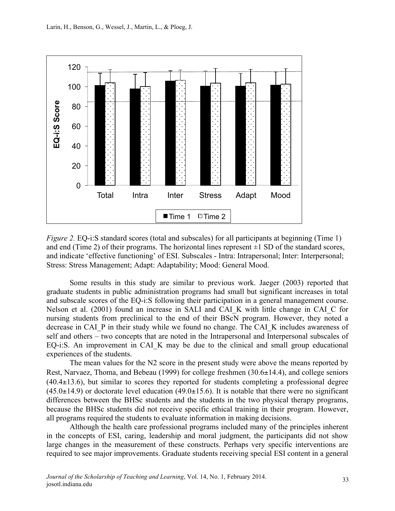

*Figure 2.* EQ-i:S standard scores (total and subscales) for all participants at beginning (Time 1) and end (Time 2) of their programs. The horizontal lines represent  $\pm 1$  SD of the standard scores, and indicate 'effective functioning' of ESI. Subscales - Intra: Intrapersonal; Inter: Interpersonal; Stress: Stress Management; Adapt: Adaptability; Mood: General Mood.

Some results in this study are similar to previous work. Jaeger (2003) reported that graduate students in public administration programs had small but significant increases in total and subscale scores of the EQ-i:S following their participation in a general management course. Nelson et al. (2001) found an increase in SALI and CAI K with little change in CAI C for nursing students from preclinical to the end of their BScN program. However, they noted a decrease in CAI\_P in their study while we found no change. The CAI\_K includes awareness of self and others – two concepts that are noted in the Intrapersonal and Interpersonal subscales of EQ-i:S. An improvement in CAI K may be due to the clinical and small group educational experiences of the students.

The mean values for the N2 score in the present study were above the means reported by Rest, Narvaez, Thoma, and Bebeau (1999) for college freshmen (30.6±14.4), and college seniors  $(40.4\pm13.6)$ , but similar to scores they reported for students completing a professional degree  $(45.0\pm14.9)$  or doctorate level education  $(49.0\pm15.6)$ . It is notable that there were no significant differences between the BHSc students and the students in the two physical therapy programs, because the BHSc students did not receive specific ethical training in their program. However, all programs required the students to evaluate information in making decisions.

Although the health care professional programs included many of the principles inherent in the concepts of ESI, caring, leadership and moral judgment, the participants did not show large changes in the measurement of these constructs. Perhaps very specific interventions are required to see major improvements. Graduate students receiving special ESI content in a general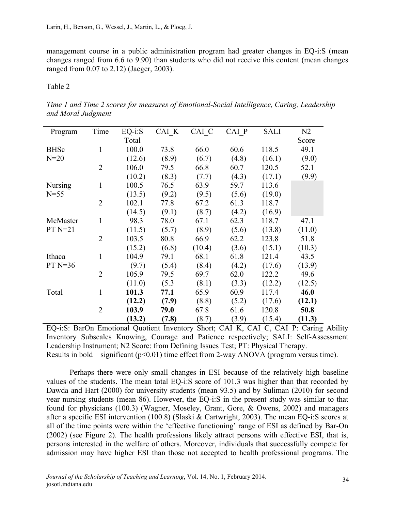management course in a public administration program had greater changes in EQ-i:S (mean changes ranged from 6.6 to 9.90) than students who did not receive this content (mean changes ranged from 0.07 to 2.12) (Jaeger, 2003).

Table 2

*Time 1 and Time 2 scores for measures of Emotional-Social Intelligence, Caring, Leadership and Moral Judgment*

| Program        | Time           | $EQ- i: S$ | CAI K | CAI C  | CAI P | <b>SALI</b> | N <sub>2</sub> |
|----------------|----------------|------------|-------|--------|-------|-------------|----------------|
|                |                | Total      |       |        |       |             | Score          |
| <b>BHSc</b>    | $\mathbf{1}$   | 100.0      | 73.8  | 66.0   | 60.6  | 118.5       | 49.1           |
| $N=20$         |                | (12.6)     | (8.9) | (6.7)  | (4.8) | (16.1)      | (9.0)          |
|                | $\overline{2}$ | 106.0      | 79.5  | 66.8   | 60.7  | 120.5       | 52.1           |
|                |                | (10.2)     | (8.3) | (7.7)  | (4.3) | (17.1)      | (9.9)          |
| <b>Nursing</b> | 1              | 100.5      | 76.5  | 63.9   | 59.7  | 113.6       |                |
| $N=55$         |                | (13.5)     | (9.2) | (9.5)  | (5.6) | (19.0)      |                |
|                | $\overline{2}$ | 102.1      | 77.8  | 67.2   | 61.3  | 118.7       |                |
|                |                | (14.5)     | (9.1) | (8.7)  | (4.2) | (16.9)      |                |
| McMaster       | 1              | 98.3       | 78.0  | 67.1   | 62.3  | 118.7       | 47.1           |
| $PT N=21$      |                | (11.5)     | (5.7) | (8.9)  | (5.6) | (13.8)      | (11.0)         |
|                | $\overline{2}$ | 103.5      | 80.8  | 66.9   | 62.2  | 123.8       | 51.8           |
|                |                | (15.2)     | (6.8) | (10.4) | (3.6) | (15.1)      | (10.3)         |
| Ithaca         | $\mathbf{1}$   | 104.9      | 79.1  | 68.1   | 61.8  | 121.4       | 43.5           |
| $PT N=36$      |                | (9.7)      | (5.4) | (8.4)  | (4.2) | (17.6)      | (13.9)         |
|                | $\overline{2}$ | 105.9      | 79.5  | 69.7   | 62.0  | 122.2       | 49.6           |
|                |                | (11.0)     | (5.3) | (8.1)  | (3.3) | (12.2)      | (12.5)         |
| Total          | 1              | 101.3      | 77.1  | 65.9   | 60.9  | 117.4       | 46.0           |
|                |                | (12.2)     | (7.9) | (8.8)  | (5.2) | (17.6)      | (12.1)         |
|                | $\overline{2}$ | 103.9      | 79.0  | 67.8   | 61.6  | 120.8       | 50.8           |
|                |                | (13.2)     | (7.8) | (8.7)  | (3.9) | (15.4)      | (11.3)         |

EQ-i:S: BarOn Emotional Quotient Inventory Short; CAI\_K, CAI\_C, CAI\_P: Caring Ability Inventory Subscales Knowing, Courage and Patience respectively; SALI: Self-Assessment Leadership Instrument; N2 Score: from Defining Issues Test; PT: Physical Therapy. Results in bold – significant  $(p<0.01)$  time effect from 2-way ANOVA (program versus time).

Perhaps there were only small changes in ESI because of the relatively high baseline values of the students. The mean total EQ-i:S score of 101.3 was higher than that recorded by Dawda and Hart (2000) for university students (mean 93.5) and by Suliman (2010) for second year nursing students (mean 86). However, the EQ-i:S in the present study was similar to that found for physicians (100.3) (Wagner, Moseley, Grant, Gore, & Owens, 2002) and managers after a specific ESI intervention (100.8) (Slaski & Cartwright, 2003). The mean EQ-i:S scores at all of the time points were within the 'effective functioning' range of ESI as defined by Bar-On (2002) (see Figure 2). The health professions likely attract persons with effective ESI, that is, persons interested in the welfare of others. Moreover, individuals that successfully compete for admission may have higher ESI than those not accepted to health professional programs. The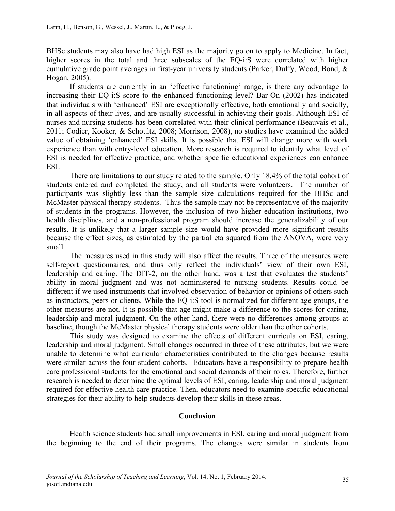BHSc students may also have had high ESI as the majority go on to apply to Medicine. In fact, higher scores in the total and three subscales of the EQ-i:S were correlated with higher cumulative grade point averages in first-year university students (Parker, Duffy, Wood, Bond, & Hogan, 2005).

If students are currently in an 'effective functioning' range, is there any advantage to increasing their EQ-i:S score to the enhanced functioning level? Bar-On (2002) has indicated that individuals with 'enhanced' ESI are exceptionally effective, both emotionally and socially, in all aspects of their lives, and are usually successful in achieving their goals. Although ESI of nurses and nursing students has been correlated with their clinical performance (Beauvais et al., 2011; Codier, Kooker, & Schoultz, 2008; Morrison, 2008), no studies have examined the added value of obtaining 'enhanced' ESI skills. It is possible that ESI will change more with work experience than with entry-level education. More research is required to identify what level of ESI is needed for effective practice, and whether specific educational experiences can enhance ESI.

There are limitations to our study related to the sample. Only 18.4% of the total cohort of students entered and completed the study, and all students were volunteers. The number of participants was slightly less than the sample size calculations required for the BHSc and McMaster physical therapy students. Thus the sample may not be representative of the majority of students in the programs. However, the inclusion of two higher education institutions, two health disciplines, and a non-professional program should increase the generalizability of our results. It is unlikely that a larger sample size would have provided more significant results because the effect sizes, as estimated by the partial eta squared from the ANOVA, were very small.

The measures used in this study will also affect the results. Three of the measures were self-report questionnaires, and thus only reflect the individuals' view of their own ESI, leadership and caring. The DIT-2, on the other hand, was a test that evaluates the students' ability in moral judgment and was not administered to nursing students. Results could be different if we used instruments that involved observation of behavior or opinions of others such as instructors, peers or clients. While the EQ-i:S tool is normalized for different age groups, the other measures are not. It is possible that age might make a difference to the scores for caring, leadership and moral judgment. On the other hand, there were no differences among groups at baseline, though the McMaster physical therapy students were older than the other cohorts.

This study was designed to examine the effects of different curricula on ESI, caring, leadership and moral judgment. Small changes occurred in three of these attributes, but we were unable to determine what curricular characteristics contributed to the changes because results were similar across the four student cohorts. Educators have a responsibility to prepare health care professional students for the emotional and social demands of their roles. Therefore, further research is needed to determine the optimal levels of ESI, caring, leadership and moral judgment required for effective health care practice. Then, educators need to examine specific educational strategies for their ability to help students develop their skills in these areas.

#### **Conclusion**

Health science students had small improvements in ESI, caring and moral judgment from the beginning to the end of their programs. The changes were similar in students from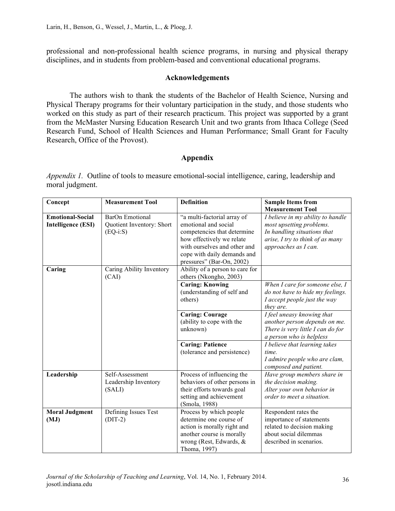professional and non-professional health science programs, in nursing and physical therapy disciplines, and in students from problem-based and conventional educational programs.

### **Acknowledgements**

The authors wish to thank the students of the Bachelor of Health Science, Nursing and Physical Therapy programs for their voluntary participation in the study, and those students who worked on this study as part of their research practicum. This project was supported by a grant from the McMaster Nursing Education Research Unit and two grants from Ithaca College (Seed Research Fund, School of Health Sciences and Human Performance; Small Grant for Faculty Research, Office of the Provost).

## **Appendix**

*Appendix 1.* Outline of tools to measure emotional-social intelligence, caring, leadership and moral judgment.

| Concept                       | <b>Measurement Tool</b>                           | <b>Definition</b>                                                                                                                                                            | <b>Sample Items from</b>                                                                                                           |
|-------------------------------|---------------------------------------------------|------------------------------------------------------------------------------------------------------------------------------------------------------------------------------|------------------------------------------------------------------------------------------------------------------------------------|
| <b>Emotional-Social</b>       | <b>BarOn Emotional</b>                            | "a multi-factorial array of                                                                                                                                                  | <b>Measurement Tool</b><br>I believe in my ability to handle                                                                       |
| <b>Intelligence (ESI)</b>     | Quotient Inventory: Short<br>$(EQ-i: S)$          | emotional and social<br>competencies that determine<br>how effectively we relate<br>with ourselves and other and<br>cope with daily demands and<br>pressures" (Bar-On, 2002) | most upsetting problems.<br>In handling situations that<br>arise, I try to think of as many<br>approaches as I can.                |
| Caring                        | Caring Ability Inventory<br>(CAI)                 | Ability of a person to care for<br>others (Nkongho, 2003)                                                                                                                    |                                                                                                                                    |
|                               |                                                   | <b>Caring: Knowing</b><br>(understanding of self and<br>others)                                                                                                              | When I care for someone else, I<br>do not have to hide my feelings.<br>I accept people just the way<br>they are.                   |
|                               |                                                   | <b>Caring: Courage</b><br>(ability to cope with the<br>unknown)                                                                                                              | I feel uneasy knowing that<br>another person depends on me.<br>There is very little I can do for<br>a person who is helpless       |
|                               |                                                   | <b>Caring: Patience</b><br>(tolerance and persistence)                                                                                                                       | I believe that learning takes<br>time.<br>I admire people who are clam,<br>composed and patient.                                   |
| Leadership                    | Self-Assessment<br>Leadership Inventory<br>(SALI) | Process of influencing the<br>behaviors of other persons in<br>their efforts towards goal<br>setting and achievement<br>(Smola, 1988)                                        | Have group members share in<br>the decision making.<br>Alter your own behavior in<br>order to meet a situation.                    |
| <b>Moral Judgment</b><br>(MJ) | Defining Issues Test<br>$(DIT-2)$                 | Process by which people<br>determine one course of<br>action is morally right and<br>another course is morally<br>wrong (Rest, Edwards, &<br>Thoma, 1997)                    | Respondent rates the<br>importance of statements<br>related to decision making<br>about social dilemmas<br>described in scenarios. |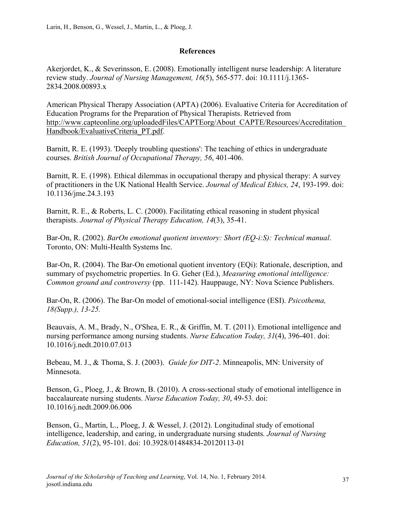# **References**

Akerjordet, K., & Severinsson, E. (2008). Emotionally intelligent nurse leadership: A literature review study. *Journal of Nursing Management, 16*(5), 565-577. doi: 10.1111/j.1365- 2834.2008.00893.x

American Physical Therapy Association (APTA) (2006). Evaluative Criteria for Accreditation of Education Programs for the Preparation of Physical Therapists. Retrieved from http://www.capteonline.org/uploadedFiles/CAPTEorg/About\_CAPTE/Resources/Accreditation\_ Handbook/EvaluativeCriteria\_PT.pdf.

Barnitt, R. E. (1993). 'Deeply troubling questions': The teaching of ethics in undergraduate courses. *British Journal of Occupational Therapy, 56*, 401-406.

Barnitt, R. E. (1998). Ethical dilemmas in occupational therapy and physical therapy: A survey of practitioners in the UK National Health Service. *Journal of Medical Ethics, 24*, 193-199. doi: 10.1136/jme.24.3.193

Barnitt, R. E., & Roberts, L. C. (2000). Facilitating ethical reasoning in student physical therapists. *Journal of Physical Therapy Education, 14*(3), 35-41.

Bar-On, R. (2002). *BarOn emotional quotient inventory: Short (EQ-i:S): Technical manual*. Toronto, ON: Multi-Health Systems Inc.

Bar-On, R. (2004). The Bar-On emotional quotient inventory (EQi): Rationale, description, and summary of psychometric properties. In G. Geher (Ed.), *Measuring emotional intelligence: Common ground and controversy* (pp. 111-142). Hauppauge, NY: Nova Science Publishers.

Bar-On, R. (2006). The Bar-On model of emotional-social intelligence (ESI). *Psicothema, 18(Supp.), 13-25.*

Beauvais, A. M., Brady, N., O'Shea, E. R., & Griffin, M. T. (2011). Emotional intelligence and nursing performance among nursing students. *Nurse Education Today, 31*(4), 396-401. doi: 10.1016/j.nedt.2010.07.013

Bebeau, M. J., & Thoma, S. J. (2003). *Guide for DIT-2*. Minneapolis, MN: University of Minnesota.

Benson, G., Ploeg, J., & Brown, B. (2010). A cross-sectional study of emotional intelligence in baccalaureate nursing students. *Nurse Education Today, 30*, 49-53. doi: 10.1016/j.nedt.2009.06.006

Benson, G., Martin, L., Ploeg, J. & Wessel, J. (2012). Longitudinal study of emotional intelligence, leadership, and caring, in undergraduate nursing students*. Journal of Nursing Education, 51*(2), 95-101. doi: 10.3928/01484834-20120113-01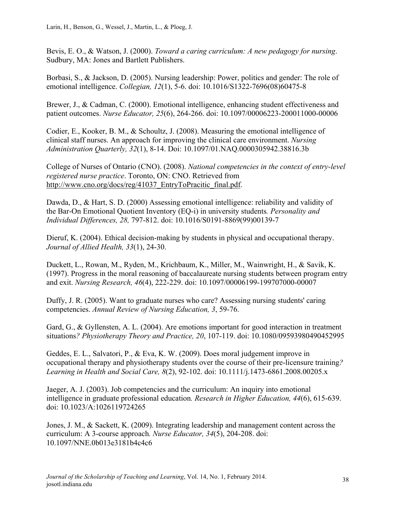Bevis, E. O., & Watson, J. (2000). *Toward a caring curriculum: A new pedagogy for nursing*. Sudbury, MA: Jones and Bartlett Publishers.

Borbasi, S., & Jackson, D. (2005). Nursing leadership: Power, politics and gender: The role of emotional intelligence. *Collegian, 12*(1), 5-6. doi: 10.1016/S1322-7696(08)60475-8

Brewer, J., & Cadman, C. (2000). Emotional intelligence, enhancing student effectiveness and patient outcomes. *Nurse Educator, 25*(6), 264-266. doi: 10.1097/00006223-200011000-00006

Codier, E., Kooker, B. M., & Schoultz, J. (2008). Measuring the emotional intelligence of clinical staff nurses. An approach for improving the clinical care environment. *Nursing Administration Quarterly, 32*(1), 8-14. Doi: 10.1097/01.NAQ.0000305942.38816.3b

College of Nurses of Ontario (CNO). (2008). *National competencies in the context of entry-level registered nurse practice*. Toronto, ON: CNO. Retrieved from http://www.cno.org/docs/reg/41037\_EntryToPracitic\_final.pdf.

Dawda, D., & Hart, S. D. (2000) Assessing emotional intelligence: reliability and validity of the Bar-On Emotional Quotient Inventory (EQ-i) in university students*. Personality and Individual Differences, 28,* 797-812. doi: 10.1016/S0191-8869(99)00139-7

Dieruf, K. (2004). Ethical decision-making by students in physical and occupational therapy. *Journal of Allied Health, 33*(1), 24-30.

Duckett, L., Rowan, M., Ryden, M., Krichbaum, K., Miller, M., Wainwright, H., & Savik, K. (1997). Progress in the moral reasoning of baccalaureate nursing students between program entry and exit. *Nursing Research, 46*(4), 222-229. doi: 10.1097/00006199-199707000-00007

Duffy, J. R. (2005). Want to graduate nurses who care? Assessing nursing students' caring competencies. *Annual Review of Nursing Education, 3*, 59-76.

Gard, G., & Gyllensten, A. L. (2004). Are emotions important for good interaction in treatment situations*? Physiotherapy Theory and Practice, 20*, 107-119. doi: 10.1080/09593980490452995

Geddes, E. L., Salvatori, P., & Eva, K. W. (2009). Does moral judgement improve in occupational therapy and physiotherapy students over the course of their pre-licensure training*? Learning in Health and Social Care, 8*(2), 92-102. doi: 10.1111/j.1473-6861.2008.00205.x

Jaeger, A. J. (2003). Job competencies and the curriculum: An inquiry into emotional intelligence in graduate professional education*. Research in Higher Education, 44*(6), 615-639. doi: 10.1023/A:1026119724265

Jones, J. M., & Sackett, K. (2009). Integrating leadership and management content across the curriculum: A 3-course approach*. Nurse Educator, 34*(5), 204-208. doi: 10.1097/NNE.0b013e3181b4c4c6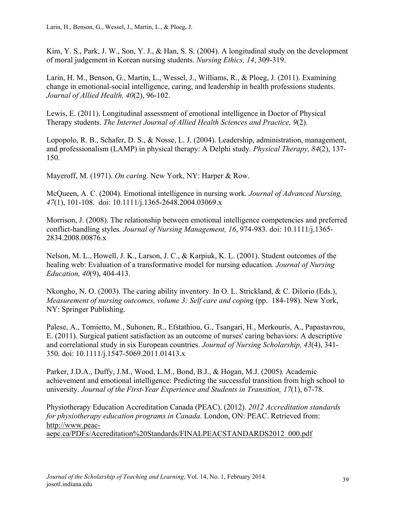Kim, Y. S., Park, J. W., Son, Y. J., & Han, S. S. (2004). A longitudinal study on the development of moral judgement in Korean nursing students. *Nursing Ethics, 14*, 309-319.

Larin, H. M., Benson, G., Martin, L., Wessel, J., Williams, R., & Ploeg, J. (2011). Examining change in emotional-social intelligence, caring, and leadership in health professions students. *Journal of Allied Health, 40*(2), 96-102.

Lewis, E. (2011). Longitudinal assessment of emotional intelligence in Doctor of Physical Therapy students. *The Internet Journal of Allied Health Sciences and Practice, 9*(2).

Lopopolo, R. B., Schafer, D. S., & Nosse, L. J. (2004). Leadership, administration, management, and professionalism (LAMP) in physical therapy: A Delphi study*. Physical Therapy, 84*(2), 137- 150.

Mayeroff, M. (1971). *On carin*g. New York, NY: Harper & Row.

McQueen, A. C. (2004). Emotional intelligence in nursing work*. Journal of Advanced Nursing, 47*(1), 101-108. doi: 10.1111/j.1365-2648.2004.03069.x

Morrison, J. (2008). The relationship between emotional intelligence competencies and preferred conflict-handling styles*. Journal of Nursing Management, 16*, 974-983. doi: 10.1111/j.1365- 2834.2008.00876.x

Nelson, M. L., Howell, J. K., Larson, J. C., & Karpiuk, K. L. (2001). Student outcomes of the healing web: Evaluation of a transformative model for nursing education*. Journal of Nursing Education, 40*(9), 404-413.

Nkongho, N. O. (2003). The caring ability inventory. In O. L. Strickland, & C. Dilorio (Eds.), *Measurement of nursing outcomes, volume 3: Self care and copin*g (pp. 184-198). New York, NY: Springer Publishing.

Palese, A., Tomietto, M., Suhonen, R., Efstathiou, G., Tsangari, H., Merkouris, A., Papastavrou, E. (2011). Surgical patient satisfaction as an outcome of nurses' caring behaviors: A descriptive and correlational study in six European countries. *Journal of Nursing Scholarship, 43*(4), 341- 350. doi: 10.1111/j.1547-5069.2011.01413.x

Parker, J.D.A., Duffy, J.M., Wood, L.M., Bond, B.J., & Hogan, M.J. (2005). Academic achievement and emotional intelligence: Predicting the successful transition from high school to university. *Journal of the First-Year Experience and Students in Transition, 17*(1), 67-78.

Physiotherapy Education Accreditation Canada (PEAC). (2012). *2012 Accreditation standards for physiotherapy education programs in Canada*. London, ON: PEAC. Retrieved from: http://www.peacaepc.ca/PDFs/Accreditation%20Standards/FINALPEACSTANDARDS2012\_000.pdf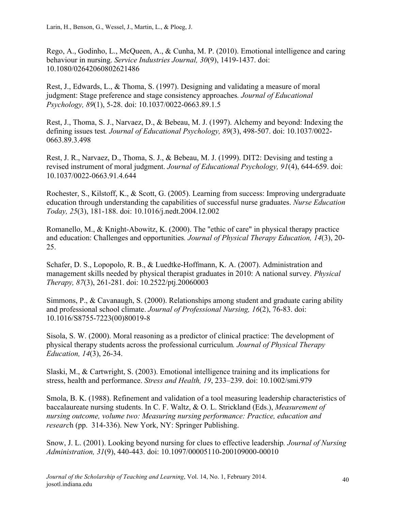Rego, A., Godinho, L., McQueen, A., & Cunha, M. P. (2010). Emotional intelligence and caring behaviour in nursing. *Service Industries Journal, 30*(9), 1419-1437. doi: 10.1080/02642060802621486

Rest, J., Edwards, L., & Thoma, S. (1997). Designing and validating a measure of moral judgment: Stage preference and stage consistency approaches*. Journal of Educational Psychology, 89*(1), 5-28. doi: 10.1037/0022-0663.89.1.5

Rest, J., Thoma, S. J., Narvaez, D., & Bebeau, M. J. (1997). Alchemy and beyond: Indexing the defining issues test*. Journal of Educational Psychology, 89*(3), 498-507. doi: 10.1037/0022- 0663.89.3.498

Rest, J. R., Narvaez, D., Thoma, S. J., & Bebeau, M. J. (1999). DIT2: Devising and testing a revised instrument of moral judgment. *Journal of Educational Psychology, 91*(4), 644-659. doi: 10.1037/0022-0663.91.4.644

Rochester, S., Kilstoff, K., & Scott, G. (2005). Learning from success: Improving undergraduate education through understanding the capabilities of successful nurse graduates. *Nurse Education Today, 25*(3), 181-188. doi: 10.1016/j.nedt.2004.12.002

Romanello, M., & Knight-Abowitz, K. (2000). The "ethic of care" in physical therapy practice and education: Challenges and opportunities*. Journal of Physical Therapy Education, 14*(3), 20- 25.

Schafer, D. S., Lopopolo, R. B., & Luedtke-Hoffmann, K. A. (2007). Administration and management skills needed by physical therapist graduates in 2010: A national survey*. Physical Therapy, 87*(3), 261-281. doi: 10.2522/ptj.20060003

Simmons, P., & Cavanaugh, S. (2000). Relationships among student and graduate caring ability and professional school climate. *Journal of Professional Nursing, 16*(2), 76-83. doi: 10.1016/S8755-7223(00)80019-8

Sisola, S. W. (2000). Moral reasoning as a predictor of clinical practice: The development of physical therapy students across the professional curriculum*. Journal of Physical Therapy Education, 14*(3), 26-34.

Slaski, M., & Cartwright, S. (2003). Emotional intelligence training and its implications for stress, health and performance. *Stress and Health, 19*, 233–239. doi: 10.1002/smi.979

Smola, B. K. (1988). Refinement and validation of a tool measuring leadership characteristics of baccalaureate nursing students. In C. F. Waltz, & O. L. Strickland (Eds.), *Measurement of nursing outcome, volume two: Measuring nursing performance: Practice, education and researc*h (pp. 314-336). New York, NY: Springer Publishing.

Snow, J. L. (2001). Looking beyond nursing for clues to effective leadership*. Journal of Nursing Administration, 31*(9), 440-443. doi: 10.1097/00005110-200109000-00010